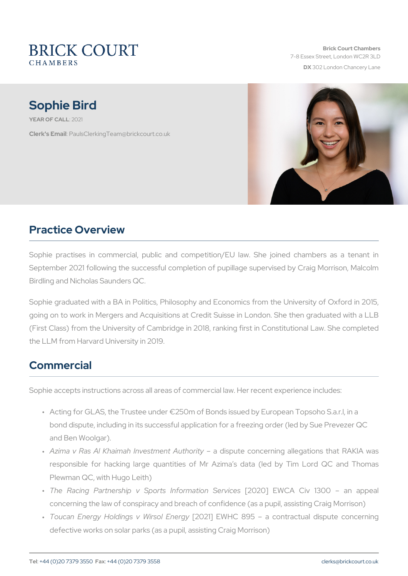Brick Court Chambers 7-8 Essex Street, London WC2 DX 302 London Chancery La

# Sophie Bird

YEAR OF CA20121

Clerk's E. Phanull s Clerking Team @brickcourt.co.uk

## Practice Overview

Sophie practises in commercial, public and competition/EU law. S September 2021 following the successful completion of pupillage sup Birdling and Nicholas Saunders QC.

Sophie graduated with a BA in Politics, Philosophy and Economics fr going on to work in Mergers and Acquisitions at Credit Suisse in Lor (First Class) from the University of Cambridge in 2018, ranking first the LLM from Harvard University in 2019.

### Commercial

Sophie accepts instructions across all areas of commercial law. Her re

- " Acting for GLAS, the Trustee under -250m of Bonds issued by Euro bond dispute, including in its successful application for a freezing and Ben Woolgar).
- " Azima v Ras Al Khaimah Inveæst**chiosput&uthoonciey**ning allegations tl responsible for hacking large quantities of Mr Azima s data ( Plewman QC, with Hugo Leith)
- "The Racing Partnership v Sports[20n2fCo]rm.ha.WiCnA SCeinvicle3s00 concerning the law of conspiracy and breach of confidence (as a p
- " Toucan Energy Holdings (y20 N2 in Jone WEHING rg8 y95 a contractual dis defective works on solar parks (as a pupil, assisting Craig Morrison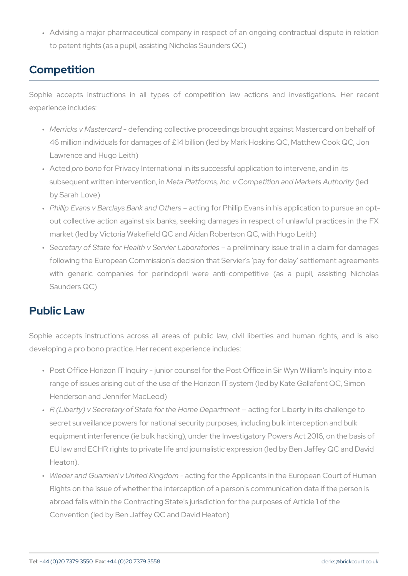" Advising a major pharmaceutical company in respect of an ongoi to patent rights (as a pupil, assisting Nicholas Saunders QC)

# Competition

Sophie accepts instructions in all types of competition law ac experience includes:

- " Merricks v Mas**defea**rddn-g collective proceedings brought against Ma 46 million individuals for damages of £14 billion (led by Mark Hos Lawrence and Hugo Leith)
- " Actepdro bofroor Privacy International in its successful application to subsequent written int teran Rlation in S, Inc. v Competition (and Mark by Sarah Love)
- " Phillip Evans v Barclays BaacntkngnfobrO Phheilsip Evans in his application out collective action against six banks, seeking damages in resp market (led by Victoria Wakefield QC and Aidan Robertson QC, with
- " Secretary of State for Health v Særpvni**e**lnimLianbaornyati**o**rsiue es trial in a clai following the European Commission s decision that Servier s pay with generic companies for perindopril were anti-competitive Saunders QC)

#### Public Law

Sophie accepts instructions across all areas of public law, civil developing a pro bono practice. Her recent experience includes:

- " Post Office Horizon IT Inquiry junior counsel for the Post Office range of issues arising out of the use of the Horizon IT system (le Henderson and Jennifer MacLeod)
- " R (Liberty) v Secretary of State for thæc**Ho.g**nefoDeLpiabnetnntyenin its chall secret surveillance powers for national security purposes, includir equipment interference (ie bulk hacking), under the Investigatory EU law and ECHR rights to private life and journalistic expression Heaton).
- " Wieder and Guarnieri v U**actted gKfiog dbe**n Applicants in the European Rights on the issue of whether the interception of a person s comm abroad falls within the Contracting State s jurisdiction for the pur Convention (led by Ben Jaffey QC and David Heaton)